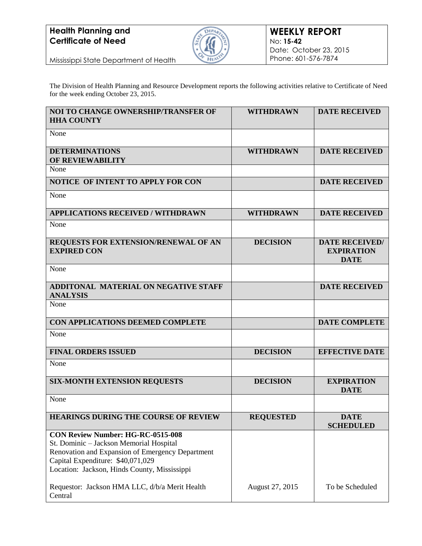## **Health Planning and Certificate of Need**



Mississippi State Department of Health

The Division of Health Planning and Resource Development reports the following activities relative to Certificate of Need for the week ending October 23, 2015.

| <b>NOI TO CHANGE OWNERSHIP/TRANSFER OF</b><br><b>HHA COUNTY</b>                                                                                                                                                              | <b>WITHDRAWN</b> | <b>DATE RECEIVED</b>                                      |
|------------------------------------------------------------------------------------------------------------------------------------------------------------------------------------------------------------------------------|------------------|-----------------------------------------------------------|
| None                                                                                                                                                                                                                         |                  |                                                           |
| <b>DETERMINATIONS</b><br>OF REVIEWABILITY                                                                                                                                                                                    | <b>WITHDRAWN</b> | <b>DATE RECEIVED</b>                                      |
| None                                                                                                                                                                                                                         |                  |                                                           |
| NOTICE OF INTENT TO APPLY FOR CON                                                                                                                                                                                            |                  | <b>DATE RECEIVED</b>                                      |
| None                                                                                                                                                                                                                         |                  |                                                           |
| <b>APPLICATIONS RECEIVED / WITHDRAWN</b>                                                                                                                                                                                     | <b>WITHDRAWN</b> | <b>DATE RECEIVED</b>                                      |
| None                                                                                                                                                                                                                         |                  |                                                           |
| REQUESTS FOR EXTENSION/RENEWAL OF AN<br><b>EXPIRED CON</b>                                                                                                                                                                   | <b>DECISION</b>  | <b>DATE RECEIVED/</b><br><b>EXPIRATION</b><br><b>DATE</b> |
| None                                                                                                                                                                                                                         |                  |                                                           |
| <b>ADDITONAL MATERIAL ON NEGATIVE STAFF</b><br><b>ANALYSIS</b>                                                                                                                                                               |                  | <b>DATE RECEIVED</b>                                      |
| None                                                                                                                                                                                                                         |                  |                                                           |
| CON APPLICATIONS DEEMED COMPLETE                                                                                                                                                                                             |                  | <b>DATE COMPLETE</b>                                      |
| None                                                                                                                                                                                                                         |                  |                                                           |
| <b>FINAL ORDERS ISSUED</b>                                                                                                                                                                                                   | <b>DECISION</b>  | <b>EFFECTIVE DATE</b>                                     |
| None                                                                                                                                                                                                                         |                  |                                                           |
| <b>SIX-MONTH EXTENSION REOUESTS</b>                                                                                                                                                                                          | <b>DECISION</b>  | <b>EXPIRATION</b><br><b>DATE</b>                          |
| None                                                                                                                                                                                                                         |                  |                                                           |
| HEARINGS DURING THE COURSE OF REVIEW                                                                                                                                                                                         | <b>REQUESTED</b> | <b>DATE</b><br><b>SCHEDULED</b>                           |
| <b>CON Review Number: HG-RC-0515-008</b><br>St. Dominic - Jackson Memorial Hospital<br>Renovation and Expansion of Emergency Department<br>Capital Expenditure: \$40,071,029<br>Location: Jackson, Hinds County, Mississippi |                  |                                                           |
| Requestor: Jackson HMA LLC, d/b/a Merit Health<br>Central                                                                                                                                                                    | August 27, 2015  | To be Scheduled                                           |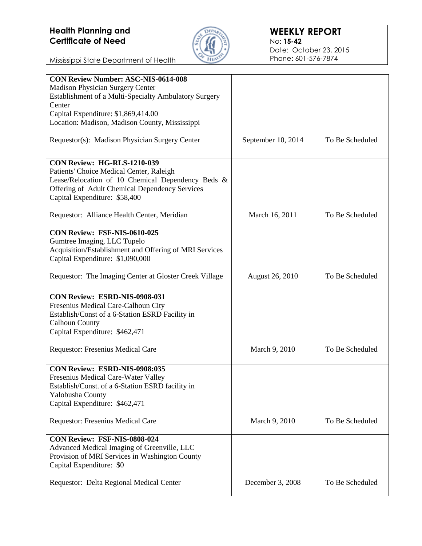## **Health Planning and Certificate of Need**



Mississippi State Department of Health

| <b>CON Review Number: ASC-NIS-0614-008</b>             |                        |                 |
|--------------------------------------------------------|------------------------|-----------------|
| Madison Physician Surgery Center                       |                        |                 |
| Establishment of a Multi-Specialty Ambulatory Surgery  |                        |                 |
| Center<br>Capital Expenditure: \$1,869,414.00          |                        |                 |
| Location: Madison, Madison County, Mississippi         |                        |                 |
|                                                        |                        |                 |
| Requestor(s): Madison Physician Surgery Center         | September 10, 2014     | To Be Scheduled |
| CON Review: HG-RLS-1210-039                            |                        |                 |
| Patients' Choice Medical Center, Raleigh               |                        |                 |
| Lease/Relocation of 10 Chemical Dependency Beds &      |                        |                 |
| Offering of Adult Chemical Dependency Services         |                        |                 |
| Capital Expenditure: \$58,400                          |                        |                 |
| Requestor: Alliance Health Center, Meridian            | March 16, 2011         | To Be Scheduled |
| CON Review: FSF-NIS-0610-025                           |                        |                 |
| Gumtree Imaging, LLC Tupelo                            |                        |                 |
| Acquisition/Establishment and Offering of MRI Services |                        |                 |
| Capital Expenditure: \$1,090,000                       |                        |                 |
| Requestor: The Imaging Center at Gloster Creek Village | <b>August 26, 2010</b> | To Be Scheduled |
|                                                        |                        |                 |
| CON Review: ESRD-NIS-0908-031                          |                        |                 |
| Fresenius Medical Care-Calhoun City                    |                        |                 |
| Establish/Const of a 6-Station ESRD Facility in        |                        |                 |
| <b>Calhoun County</b>                                  |                        |                 |
| Capital Expenditure: \$462,471                         |                        |                 |
| Requestor: Fresenius Medical Care                      | March 9, 2010          | To Be Scheduled |
|                                                        |                        |                 |
| CON Review: ESRD-NIS-0908:035                          |                        |                 |
| Fresenius Medical Care-Water Valley                    |                        |                 |
| Establish/Const. of a 6-Station ESRD facility in       |                        |                 |
| Yalobusha County                                       |                        |                 |
| Capital Expenditure: \$462,471                         |                        |                 |
| Requestor: Fresenius Medical Care                      | March 9, 2010          | To Be Scheduled |
|                                                        |                        |                 |
| CON Review: FSF-NIS-0808-024                           |                        |                 |
| Advanced Medical Imaging of Greenville, LLC            |                        |                 |
| Provision of MRI Services in Washington County         |                        |                 |
| Capital Expenditure: \$0                               |                        |                 |
|                                                        |                        | To Be Scheduled |
| Requestor: Delta Regional Medical Center               | December 3, 2008       |                 |